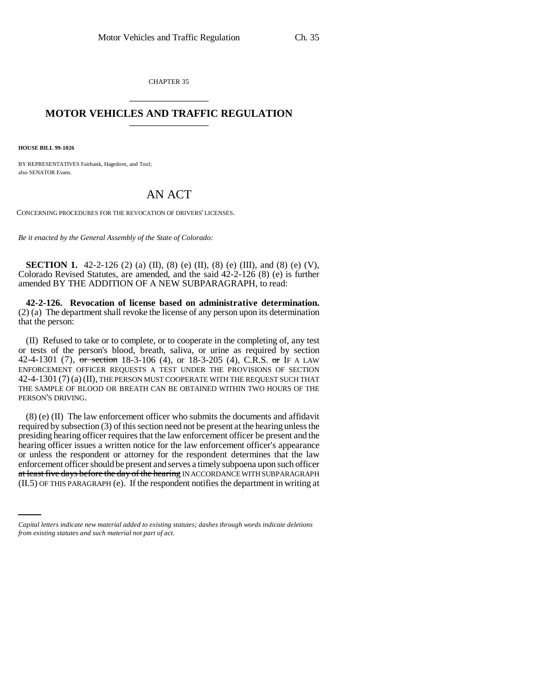CHAPTER 35 \_\_\_\_\_\_\_\_\_\_\_\_\_\_\_

## **MOTOR VEHICLES AND TRAFFIC REGULATION** \_\_\_\_\_\_\_\_\_\_\_\_\_\_\_

**HOUSE BILL 99-1026**

BY REPRESENTATIVES Fairbank, Hagedorn, and Tool; also SENATOR Evans.

## AN ACT

CONCERNING PROCEDURES FOR THE REVOCATION OF DRIVERS' LICENSES.

*Be it enacted by the General Assembly of the State of Colorado:*

**SECTION 1.** 42-2-126 (2) (a) (II), (8) (e) (II), (8) (e) (III), and (8) (e) (V), Colorado Revised Statutes, are amended, and the said 42-2-126 (8) (e) is further amended BY THE ADDITION OF A NEW SUBPARAGRAPH, to read:

**42-2-126. Revocation of license based on administrative determination.** (2) (a) The department shall revoke the license of any person upon its determination that the person:

(II) Refused to take or to complete, or to cooperate in the completing of, any test or tests of the person's blood, breath, saliva, or urine as required by section 42-4-1301 (7), or section 18-3-106 (4), or 18-3-205 (4), C.R.S. or IF A LAW ENFORCEMENT OFFICER REQUESTS A TEST UNDER THE PROVISIONS OF SECTION 42-4-1301 (7) (a) (II), THE PERSON MUST COOPERATE WITH THE REQUEST SUCH THAT THE SAMPLE OF BLOOD OR BREATH CAN BE OBTAINED WITHIN TWO HOURS OF THE PERSON'S DRIVING.

emorcement officer should be present and serves a unlery subpoema upon such officer<br>at least five days before the day of the hearing IN ACCORDANCE WITH SUBPARAGRAPH (8) (e) (II) The law enforcement officer who submits the documents and affidavit required by subsection (3) of this section need not be present at the hearing unless the presiding hearing officer requires that the law enforcement officer be present and the hearing officer issues a written notice for the law enforcement officer's appearance or unless the respondent or attorney for the respondent determines that the law enforcement officer should be present and serves a timely subpoena upon such officer (II.5) OF THIS PARAGRAPH (e). If the respondent notifies the department in writing at

*Capital letters indicate new material added to existing statutes; dashes through words indicate deletions from existing statutes and such material not part of act.*